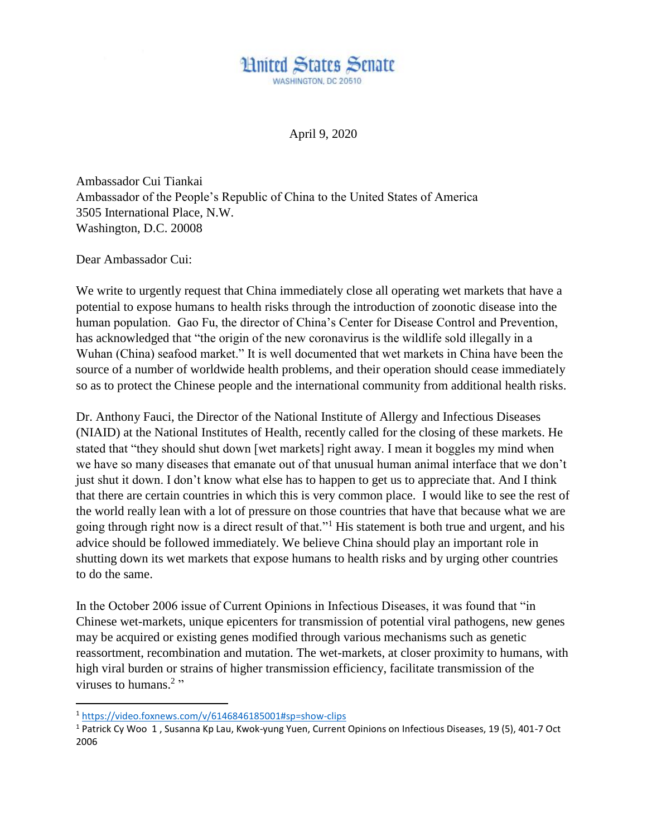

April 9, 2020

Ambassador Cui Tiankai Ambassador of the People's Republic of China to the United States of America 3505 International Place, N.W. Washington, D.C. 20008

Dear Ambassador Cui:

We write to urgently request that China immediately close all operating wet markets that have a potential to expose humans to health risks through the introduction of zoonotic disease into the human population. Gao Fu, the director of China's Center for Disease Control and Prevention, has acknowledged that "the origin of the new coronavirus is the wildlife sold illegally in a Wuhan (China) seafood market." It is well documented that wet markets in China have been the source of a number of worldwide health problems, and their operation should cease immediately so as to protect the Chinese people and the international community from additional health risks.

Dr. Anthony Fauci, the Director of the National Institute of Allergy and Infectious Diseases (NIAID) at the National Institutes of Health, recently called for the closing of these markets. He stated that "they should shut down [wet markets] right away. I mean it boggles my mind when we have so many diseases that emanate out of that unusual human animal interface that we don't just shut it down. I don't know what else has to happen to get us to appreciate that. And I think that there are certain countries in which this is very common place. I would like to see the rest of the world really lean with a lot of pressure on those countries that have that because what we are going through right now is a direct result of that."<sup>1</sup> His statement is both true and urgent, and his advice should be followed immediately. We believe China should play an important role in shutting down its wet markets that expose humans to health risks and by urging other countries to do the same.

In the October 2006 issue of Current Opinions in Infectious Diseases, it was found that "in Chinese wet-markets, unique epicenters for transmission of potential viral pathogens, new genes may be acquired or existing genes modified through various mechanisms such as genetic reassortment, recombination and mutation. The wet-markets, at closer proximity to humans, with high viral burden or strains of higher transmission efficiency, facilitate transmission of the viruses to humans. $2$ "

l

<sup>1</sup> <https://video.foxnews.com/v/6146846185001#sp=show-clips>

<sup>1</sup> Patrick Cy Woo 1 , Susanna Kp Lau, Kwok-yung Yuen, Current Opinions on Infectious Diseases, 19 (5), 401-7 Oct 2006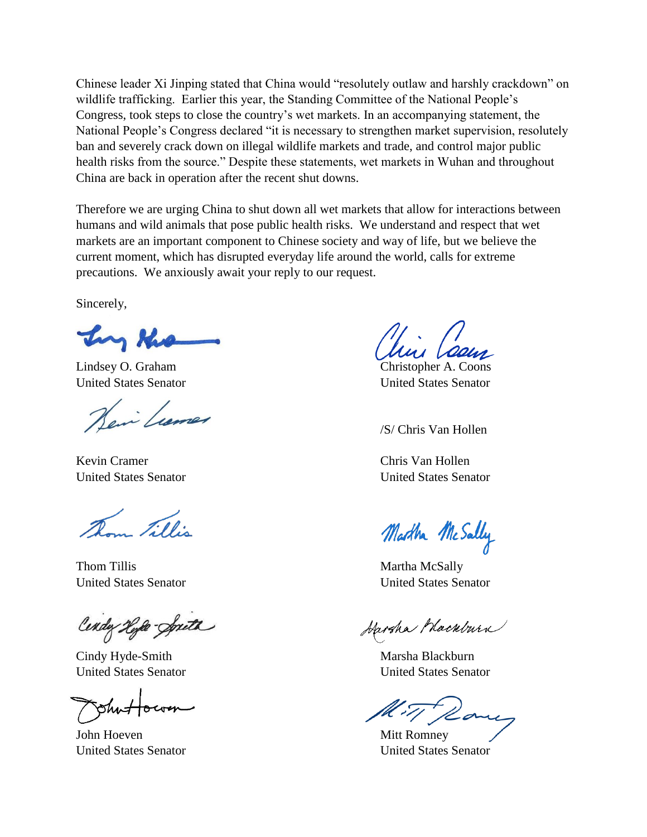Chinese leader Xi Jinping stated that China would "resolutely outlaw and harshly crackdown" on wildlife trafficking. Earlier this year, the Standing Committee of the National People's Congress, took steps to close the country's wet markets. In an accompanying statement, the National People's Congress declared "it is necessary to strengthen market supervision, resolutely ban and severely crack down on illegal wildlife markets and trade, and control major public health risks from the source." Despite these statements, wet markets in Wuhan and throughout China are back in operation after the recent shut downs.

Therefore we are urging China to shut down all wet markets that allow for interactions between humans and wild animals that pose public health risks. We understand and respect that wet markets are an important component to Chinese society and way of life, but we believe the current moment, which has disrupted everyday life around the world, calls for extreme precautions. We anxiously await your reply to our request.

Sincerely,

Ing the

Lindsey O. Graham Christopher A. Coons

en Lumer

Kevin Cramer Chris Van Hollen

Jillis

Thom Tillis Martha McSally

Cendy Hyle-Spith

Cindy Hyde-Smith Marsha Blackburn United States Senator United States Senator

John Hoeven Mitt Romney

United States Senator United States Senator

/S/ Chris Van Hollen

United States Senator United States Senator

Martha McSally

United States Senator United States Senator

Harsha Macabura

United States Senator United States Senator